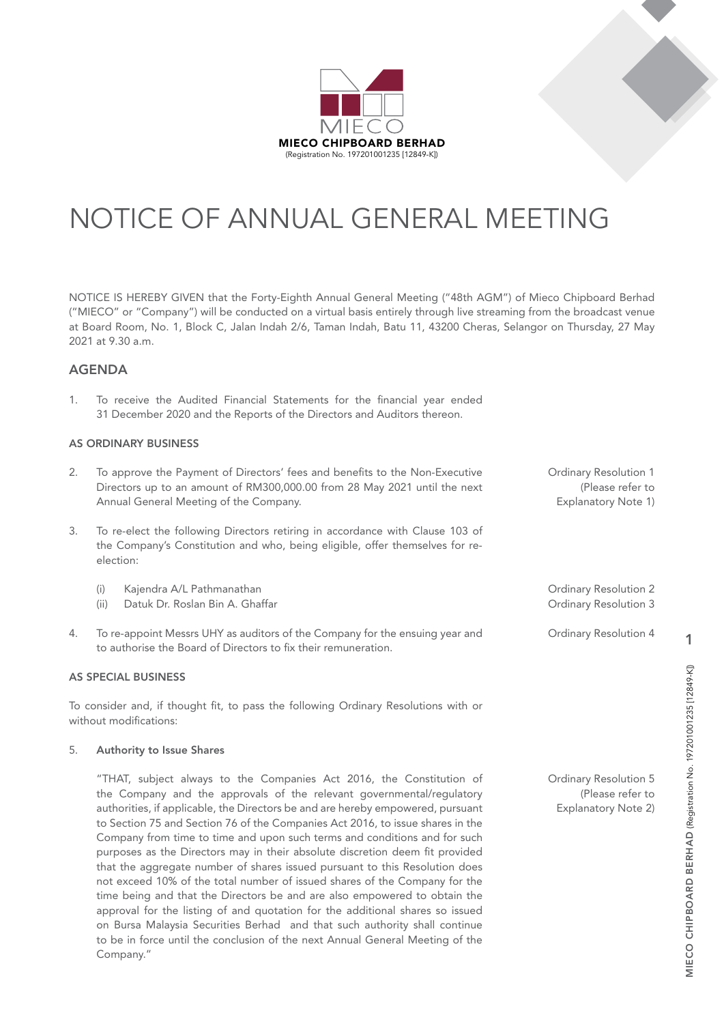

# NOTICE OF ANNUAL GENERAL MEETING

NOTICE IS HEREBY GIVEN that the Forty-Eighth Annual General Meeting ("48th AGM") of Mieco Chipboard Berhad ("MIECO" or "Company") will be conducted on a virtual basis entirely through live streaming from the broadcast venue at Board Room, No. 1, Block C, Jalan Indah 2/6, Taman Indah, Batu 11, 43200 Cheras, Selangor on Thursday, 27 May 2021 at 9.30 a.m.

### AGENDA

1. To receive the Audited Financial Statements for the financial year ended 31 December 2020 and the Reports of the Directors and Auditors thereon.

### AS ORDINARY BUSINESS

- 2. To approve the Payment of Directors' fees and benefits to the Non-Executive Directors up to an amount of RM300,000.00 from 28 May 2021 until the next Annual General Meeting of the Company.
- 3. To re-elect the following Directors retiring in accordance with Clause 103 of the Company's Constitution and who, being eligible, offer themselves for reelection:
	- (i) Kajendra A/L Pathmanathan
	- (ii) Datuk Dr. Roslan Bin A. Ghaffar
- 4. To re-appoint Messrs UHY as auditors of the Company for the ensuing year and to authorise the Board of Directors to fix their remuneration.

### AS SPECIAL BUSINESS

To consider and, if thought fit, to pass the following Ordinary Resolutions with or without modifications:

#### 5. Authority to Issue Shares

"THAT, subject always to the Companies Act 2016, the Constitution of the Company and the approvals of the relevant governmental/regulatory authorities, if applicable, the Directors be and are hereby empowered, pursuant to Section 75 and Section 76 of the Companies Act 2016, to issue shares in the Company from time to time and upon such terms and conditions and for such purposes as the Directors may in their absolute discretion deem fit provided that the aggregate number of shares issued pursuant to this Resolution does not exceed 10% of the total number of issued shares of the Company for the time being and that the Directors be and are also empowered to obtain the approval for the listing of and quotation for the additional shares so issued on Bursa Malaysia Securities Berhad and that such authority shall continue to be in force until the conclusion of the next Annual General Meeting of the Company."

Ordinary Resolution 1 (Please refer to Explanatory Note 1)

Ordinary Resolution 2 Ordinary Resolution 3

Ordinary Resolution 4

Ordinary Resolution 5 (Please refer to Explanatory Note 2)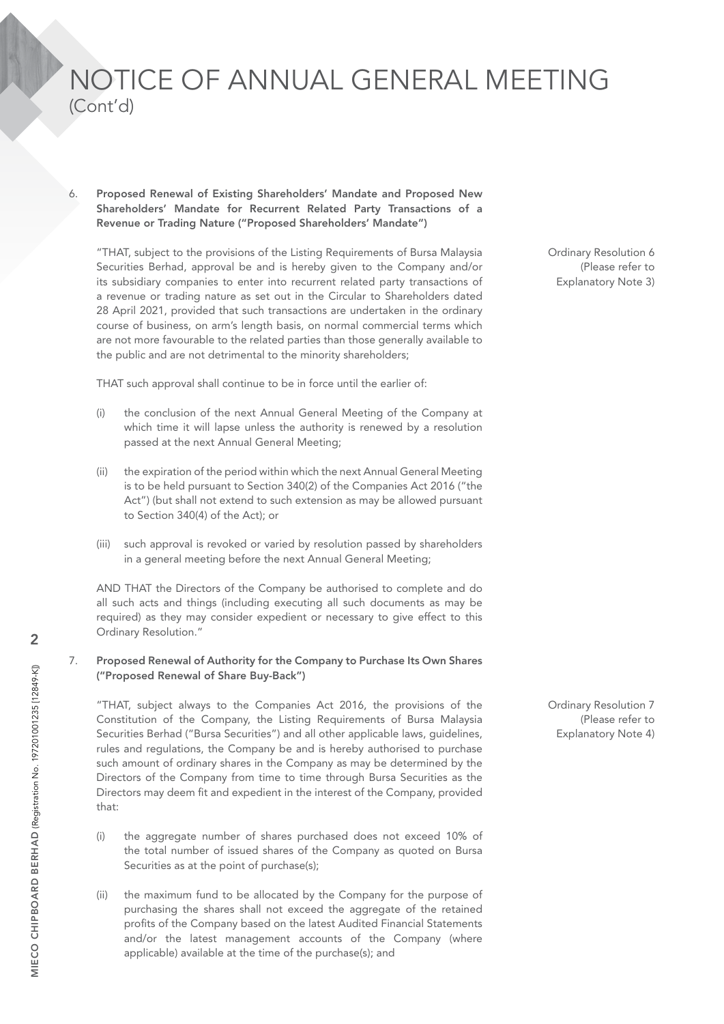Proposed Renewal of Existing Shareholders' Mandate and Proposed New Shareholders' Mandate for Recurrent Related Party Transactions of a Revenue or Trading Nature ("Proposed Shareholders' Mandate")

"THAT, subject to the provisions of the Listing Requirements of Bursa Malaysia Securities Berhad, approval be and is hereby given to the Company and/or its subsidiary companies to enter into recurrent related party transactions of a revenue or trading nature as set out in the Circular to Shareholders dated 28 April 2021, provided that such transactions are undertaken in the ordinary course of business, on arm's length basis, on normal commercial terms which are not more favourable to the related parties than those generally available to the public and are not detrimental to the minority shareholders;

THAT such approval shall continue to be in force until the earlier of:

- (i) the conclusion of the next Annual General Meeting of the Company at which time it will lapse unless the authority is renewed by a resolution passed at the next Annual General Meeting;
- (ii) the expiration of the period within which the next Annual General Meeting is to be held pursuant to Section 340(2) of the Companies Act 2016 ("the Act") (but shall not extend to such extension as may be allowed pursuant to Section 340(4) of the Act); or
- (iii) such approval is revoked or varied by resolution passed by shareholders in a general meeting before the next Annual General Meeting;

AND THAT the Directors of the Company be authorised to complete and do all such acts and things (including executing all such documents as may be required) as they may consider expedient or necessary to give effect to this Ordinary Resolution."

### 7. Proposed Renewal of Authority for the Company to Purchase Its Own Shares ("Proposed Renewal of Share Buy-Back")

"THAT, subject always to the Companies Act 2016, the provisions of the Constitution of the Company, the Listing Requirements of Bursa Malaysia Securities Berhad ("Bursa Securities") and all other applicable laws, guidelines, rules and regulations, the Company be and is hereby authorised to purchase such amount of ordinary shares in the Company as may be determined by the Directors of the Company from time to time through Bursa Securities as the Directors may deem fit and expedient in the interest of the Company, provided that:

- (i) the aggregate number of shares purchased does not exceed 10% of the total number of issued shares of the Company as quoted on Bursa Securities as at the point of purchase(s);
- (ii) the maximum fund to be allocated by the Company for the purpose of purchasing the shares shall not exceed the aggregate of the retained profits of the Company based on the latest Audited Financial Statements and/or the latest management accounts of the Company (where applicable) available at the time of the purchase(s); and

Ordinary Resolution 6 (Please refer to Explanatory Note 3)

Ordinary Resolution 7 (Please refer to Explanatory Note 4)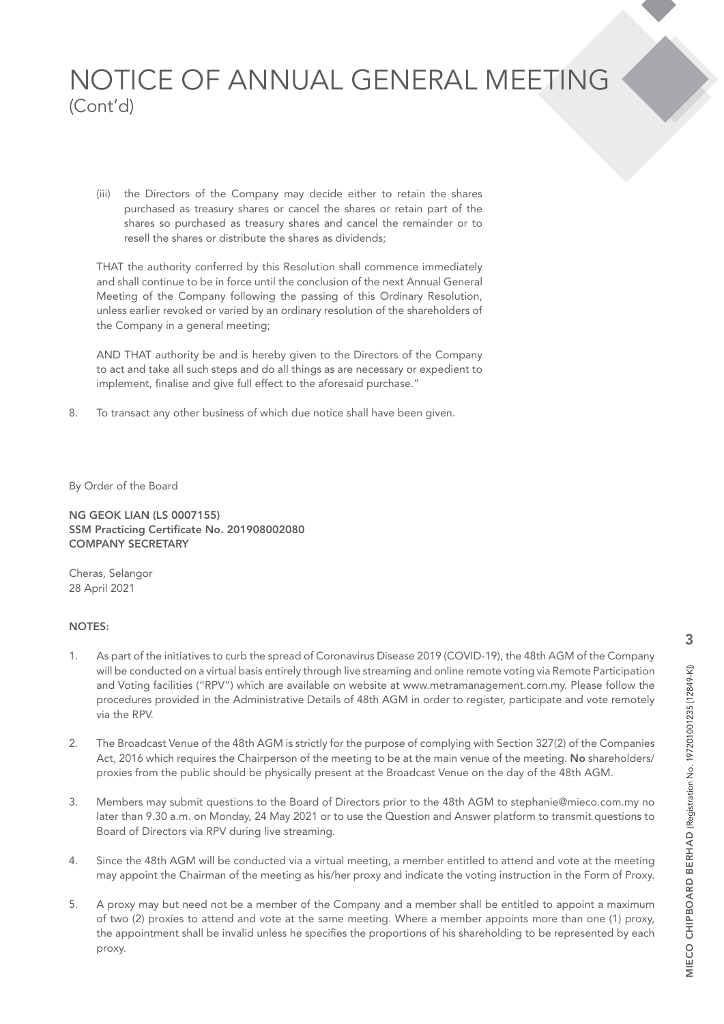(iii) the Directors of the Company may decide either to retain the shares purchased as treasury shares or cancel the shares or retain part of the shares so purchased as treasury shares and cancel the remainder or to resell the shares or distribute the shares as dividends;

THAT the authority conferred by this Resolution shall commence immediately and shall continue to be in force until the conclusion of the next Annual General Meeting of the Company following the passing of this Ordinary Resolution, unless earlier revoked or varied by an ordinary resolution of the shareholders of the Company in a general meeting;

AND THAT authority be and is hereby given to the Directors of the Company to act and take all such steps and do all things as are necessary or expedient to implement, finalise and give full effect to the aforesaid purchase."

8. To transact any other business of which due notice shall have been given.

By Order of the Board

NG GEOK LIAN (LS 0007155) SSM Practicing Certificate No. 201908002080 COMPANY SECRETARY

Cheras, Selangor 28 April 2021

### NOTES:

- 1. As part of the initiatives to curb the spread of Coronavirus Disease 2019 (COVID-19), the 48th AGM of the Company will be conducted on a virtual basis entirely through live streaming and online remote voting via Remote Participation and Voting facilities ("RPV") which are available on website at www.metramanagement.com.my. Please follow the procedures provided in the Administrative Details of 48th AGM in order to register, participate and vote remotely via the RPV.
- 2. The Broadcast Venue of the 48th AGM is strictly for the purpose of complying with Section 327(2) of the Companies Act, 2016 which requires the Chairperson of the meeting to be at the main venue of the meeting. No shareholders/ proxies from the public should be physically present at the Broadcast Venue on the day of the 48th AGM.
- 3. Members may submit questions to the Board of Directors prior to the 48th AGM to stephanie@mieco.com.my no later than 9.30 a.m. on Monday, 24 May 2021 or to use the Question and Answer platform to transmit questions to Board of Directors via RPV during live streaming.
- 4. Since the 48th AGM will be conducted via a virtual meeting, a member entitled to attend and vote at the meeting may appoint the Chairman of the meeting as his/her proxy and indicate the voting instruction in the Form of Proxy.
- 5. A proxy may but need not be a member of the Company and a member shall be entitled to appoint a maximum of two (2) proxies to attend and vote at the same meeting. Where a member appoints more than one (1) proxy, the appointment shall be invalid unless he specifies the proportions of his shareholding to be represented by each proxy.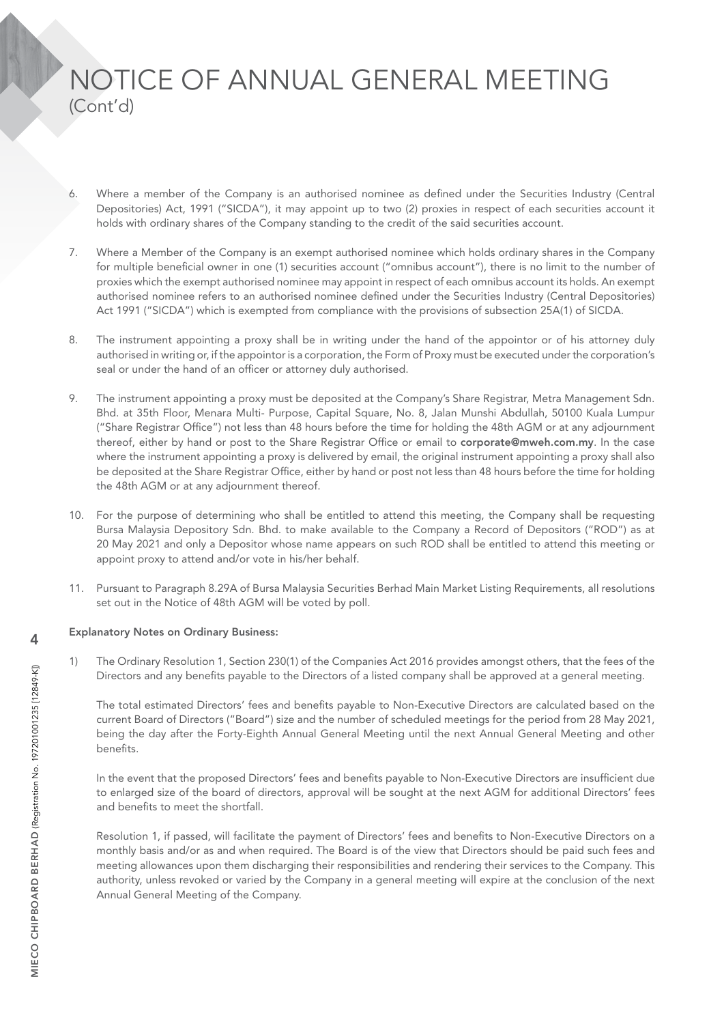- 6. Where a member of the Company is an authorised nominee as defined under the Securities Industry (Central Depositories) Act, 1991 ("SICDA"), it may appoint up to two (2) proxies in respect of each securities account it holds with ordinary shares of the Company standing to the credit of the said securities account.
- 7. Where a Member of the Company is an exempt authorised nominee which holds ordinary shares in the Company for multiple beneficial owner in one (1) securities account ("omnibus account"), there is no limit to the number of proxies which the exempt authorised nominee may appoint in respect of each omnibus account its holds. An exempt authorised nominee refers to an authorised nominee defined under the Securities Industry (Central Depositories) Act 1991 ("SICDA") which is exempted from compliance with the provisions of subsection 25A(1) of SICDA.
- 8. The instrument appointing a proxy shall be in writing under the hand of the appointor or of his attorney duly authorised in writing or, if the appointor is a corporation, the Form of Proxy must be executed under the corporation's seal or under the hand of an officer or attorney duly authorised.
- 9. The instrument appointing a proxy must be deposited at the Company's Share Registrar, Metra Management Sdn. Bhd. at 35th Floor, Menara Multi- Purpose, Capital Square, No. 8, Jalan Munshi Abdullah, 50100 Kuala Lumpur ("Share Registrar Office") not less than 48 hours before the time for holding the 48th AGM or at any adjournment thereof, either by hand or post to the Share Registrar Office or email to corporate@mweh.com.my. In the case where the instrument appointing a proxy is delivered by email, the original instrument appointing a proxy shall also be deposited at the Share Registrar Office, either by hand or post not less than 48 hours before the time for holding the 48th AGM or at any adjournment thereof.
- 10. For the purpose of determining who shall be entitled to attend this meeting, the Company shall be requesting Bursa Malaysia Depository Sdn. Bhd. to make available to the Company a Record of Depositors ("ROD") as at 20 May 2021 and only a Depositor whose name appears on such ROD shall be entitled to attend this meeting or appoint proxy to attend and/or vote in his/her behalf.
- 11. Pursuant to Paragraph 8.29A of Bursa Malaysia Securities Berhad Main Market Listing Requirements, all resolutions set out in the Notice of 48th AGM will be voted by poll.

### Explanatory Notes on Ordinary Business:

1) The Ordinary Resolution 1, Section 230(1) of the Companies Act 2016 provides amongst others, that the fees of the Directors and any benefits payable to the Directors of a listed company shall be approved at a general meeting.

The total estimated Directors' fees and benefits payable to Non-Executive Directors are calculated based on the current Board of Directors ("Board") size and the number of scheduled meetings for the period from 28 May 2021, being the day after the Forty-Eighth Annual General Meeting until the next Annual General Meeting and other benefits.

In the event that the proposed Directors' fees and benefits payable to Non-Executive Directors are insufficient due to enlarged size of the board of directors, approval will be sought at the next AGM for additional Directors' fees and benefits to meet the shortfall.

Resolution 1, if passed, will facilitate the payment of Directors' fees and benefits to Non-Executive Directors on a monthly basis and/or as and when required. The Board is of the view that Directors should be paid such fees and meeting allowances upon them discharging their responsibilities and rendering their services to the Company. This authority, unless revoked or varied by the Company in a general meeting will expire at the conclusion of the next Annual General Meeting of the Company.